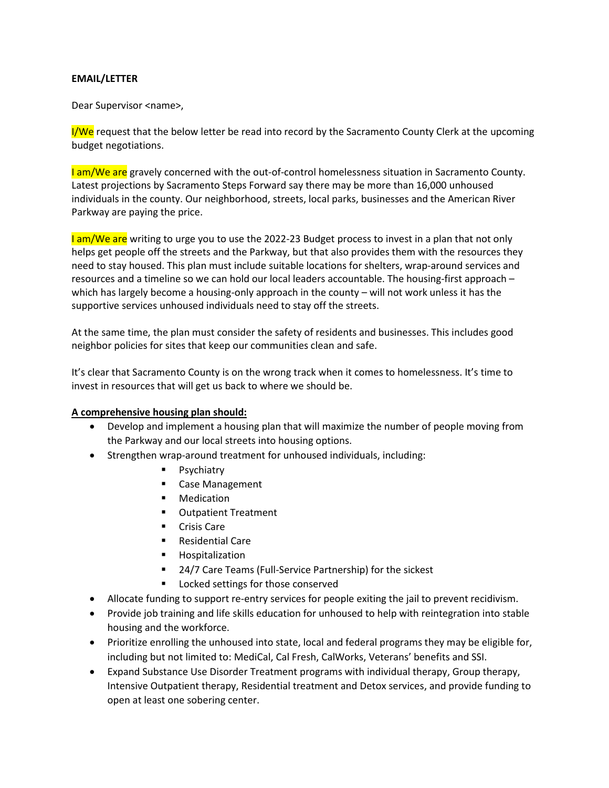## **EMAIL/LETTER**

Dear Supervisor <name>,

 $I/We$  request that the below letter be read into record by the Sacramento County Clerk at the upcoming budget negotiations.

I am/We are gravely concerned with the out-of-control homelessness situation in Sacramento County. Latest projections by Sacramento Steps Forward say there may be more than 16,000 unhoused individuals in the county. Our neighborhood, streets, local parks, businesses and the American River Parkway are paying the price.

I am/We are writing to urge you to use the 2022-23 Budget process to invest in a plan that not only helps get people off the streets and the Parkway, but that also provides them with the resources they need to stay housed. This plan must include suitable locations for shelters, wrap-around services and resources and a timeline so we can hold our local leaders accountable. The housing-first approach – which has largely become a housing-only approach in the county – will not work unless it has the supportive services unhoused individuals need to stay off the streets.

At the same time, the plan must consider the safety of residents and businesses. This includes good neighbor policies for sites that keep our communities clean and safe.

It's clear that Sacramento County is on the wrong track when it comes to homelessness. It's time to invest in resources that will get us back to where we should be.

## **A comprehensive housing plan should:**

- Develop and implement a housing plan that will maximize the number of people moving from the Parkway and our local streets into housing options.
- Strengthen wrap-around treatment for unhoused individuals, including:
	- Psychiatry
	- Case Management
	- Medication
	- Outpatient Treatment
	- Crisis Care
	- Residential Care
	- Hospitalization
	- 24/7 Care Teams (Full-Service Partnership) for the sickest
	- Locked settings for those conserved
- Allocate funding to support re-entry services for people exiting the jail to prevent recidivism.
- Provide job training and life skills education for unhoused to help with reintegration into stable housing and the workforce.
- Prioritize enrolling the unhoused into state, local and federal programs they may be eligible for, including but not limited to: MediCal, Cal Fresh, CalWorks, Veterans' benefits and SSI.
- Expand Substance Use Disorder Treatment programs with individual therapy, Group therapy, Intensive Outpatient therapy, Residential treatment and Detox services, and provide funding to open at least one sobering center.